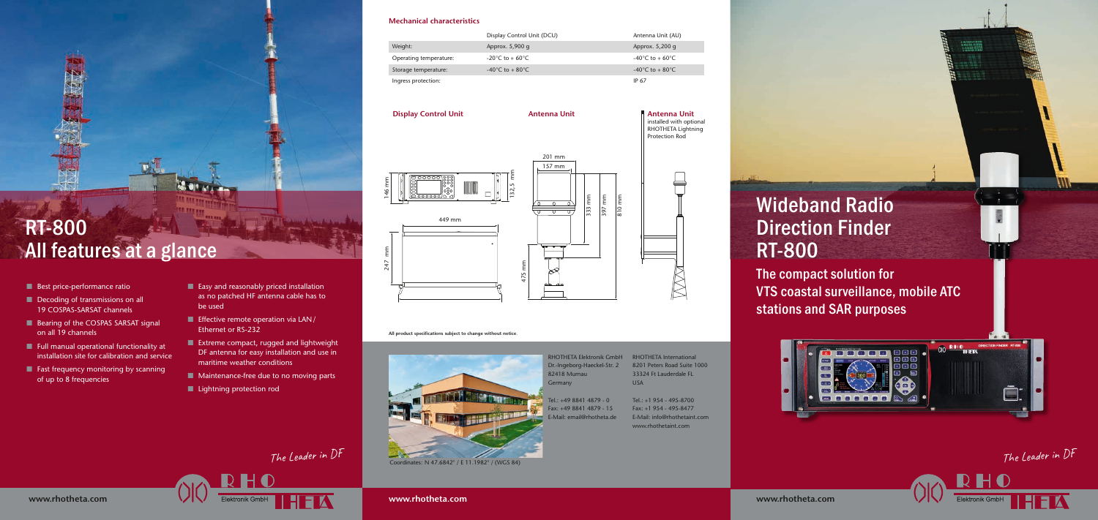

### **Mechanical characteristics**

# Display Control Unit (DCU) Weight: Approx. 5,900 g Approx. 5,900 g Operating temperature:  $-20^{\circ}C$  to + 60 $^{\circ}C$ Storage temperature:  $-40^{\circ}C$  to + 80 $^{\circ}C$ Ingress protection:



**All product specifcations subject to change without notice.**



- $\blacksquare$  Best price-performance ratio
- $\blacksquare$  Decoding of transmissions on all 19 COSPAS-SARSAT channels
- $\blacksquare$  Bearing of the COSPAS SARSAT signal on all 19 channels
- $\blacksquare$  Full manual operational functionality at installation site for calibration and service
- $\blacksquare$  Fast frequency monitoring by scanning of up to 8 frequencies
- $\blacksquare$  Easy and reasonably priced installation as no patched HF antenna cable has to be used
- $\blacksquare$  Effective remote operation via LAN/ Ethernet or RS-232
- $\blacksquare$  Extreme compact, rugged and lightweight DF antenna for easy installation and use in maritime weather conditions
- $\blacksquare$  Maintenance-free due to no moving parts
- $\blacksquare$  Lightning protection rod

Elektronik GmbH

**www.rhotheta.com**

| Antenna Unit (AU)                    |
|--------------------------------------|
| Approx. 5,200 g                      |
| $-40^{\circ}$ C to + 60 $^{\circ}$ C |
| $-40^{\circ}$ C to $+80^{\circ}$ C   |
| IP 67                                |
|                                      |

# RT-800 All features at a glance

RHOTHETA Elektronik GmbH RHOTHETA International Dr.-Ingeborg-Haeckel-Str. 2 82418 Murnau Germany

Tel.: +49 8841 4879 - 0 Fax: +49 8841 4879 - 15 E-Mail: email@rhotheta.de

**Antenna Unit**



The Leader in DF

HFTA

The Leader in DF

H

Elektronik GmbH



The compact solution for VTS coastal surveillance, mobile ATC stations and SAR purposes





**Display Control Unit**

# Wideband Radio Direction Finder RT-800

**Antenna Unit** installed with optional RHOTHETA Lightning Protection Rod

Coordinates: N 47.6842° / E 11.1982° / (WGS 84)

8201 Peters Road Suite 1000 33324 Ft Lauderdale FL USA

Tel.: +1 954 - 495-8700 Fax: +1 954 - 495-8477 E-Mail: info@rhothetaint.com www.rhothetaint.com